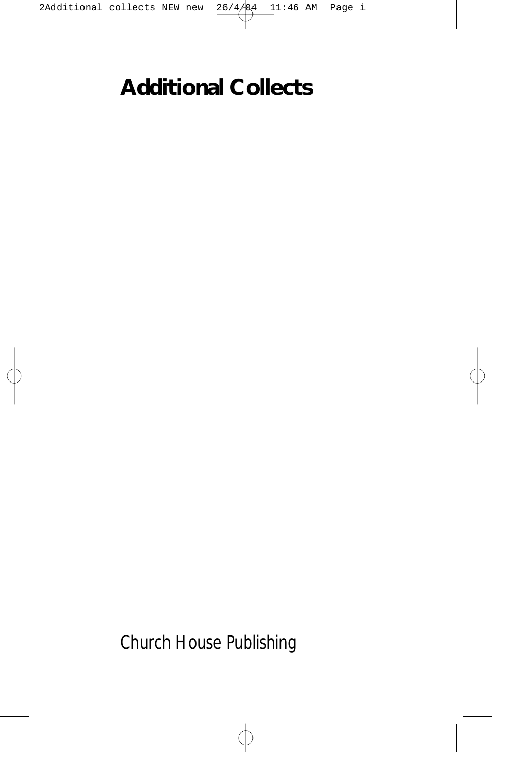# **Additional Collects**

*Church House Publishing*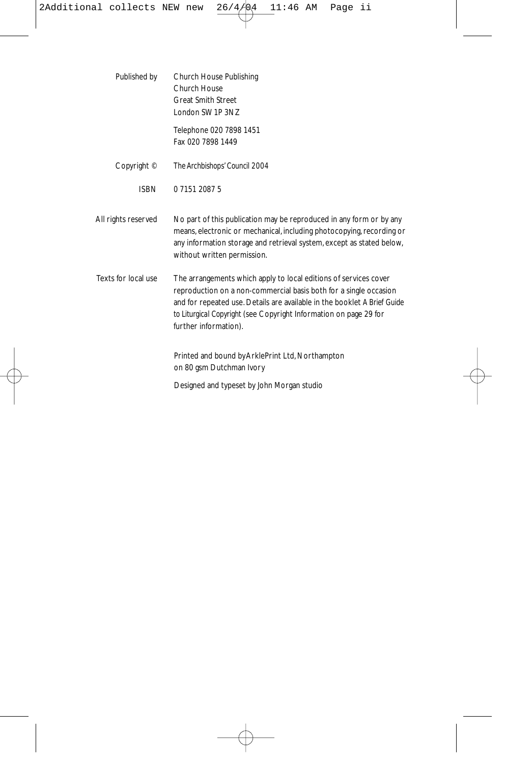Published by Church House Publishing Church House Great Smith Street London SW1P 3NZ Telephone 020 7898 1451 Fax 020 7898 1449 Copyright © *The Archbishops' Council 2004*  ISBN 0 7151 2087 5 All rights reserved No part of this publication may be reproduced in any form or by any means, electronic or mechanical, including photocopying, recording or any information storage and retrieval system, except as stated below, without written permission. Texts for local use The arrangements which apply to local editions of services cover reproduction on a non-commercial basis both for a single occasion and for repeated use. Details are available in the booklet *A Brief Guide to Liturgical Copyright* (see Copyright Information on page 29 for further information). Printed and bound byArklePrint Ltd, Northampton on 80 gsm Dutchman Ivory

Designed and typeset by John Morgan studio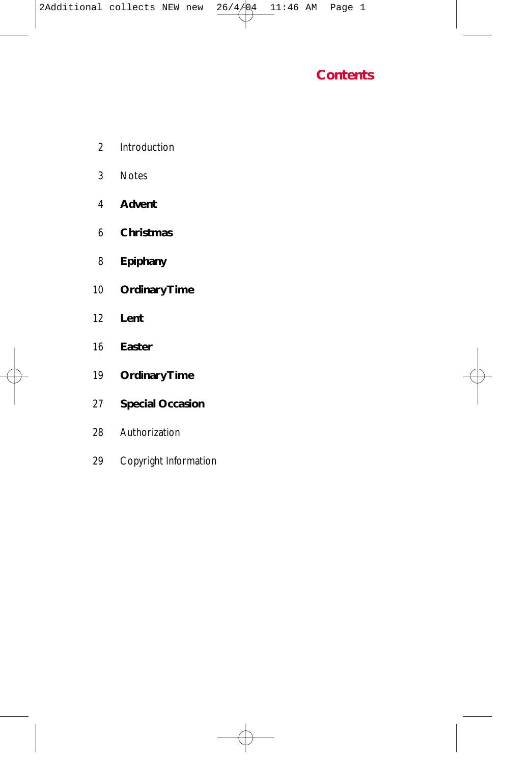

- 2 Introduction
- 3 Notes
- **Advent**
- **Christmas**
- **Epiphany**
- **Ordinary Time**
- **Lent**
- **Easter**
- **Ordinary Time**
- **Special Occasion**
- 28 Authorization
- 29 Copyright Information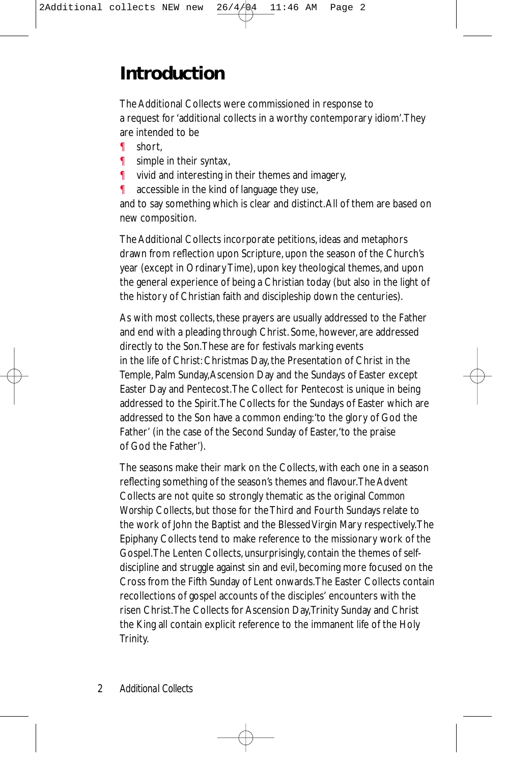# **Introduction**

The Additional Collects were commissioned in response to a request for 'additional collects in a worthy contemporary idiom'.They are intended to be

- ¶ short,
- ¶ simple in their syntax,
- ¶ vivid and interesting in their themes and imagery,
- ¶ accessible in the kind of language they use,

and to say something which is clear and distinct.All of them are based on new composition.

The Additional Collects incorporate petitions, ideas and metaphors drawn from reflection upon Scripture, upon the season of the Church's year (except in Ordinary Time), upon key theological themes, and upon the general experience of being a Christian today (but also in the light of the history of Christian faith and discipleship down the centuries).

As with most collects, these prayers are usually addressed to the Father and end with a pleading through Christ. Some, however, are addressed directly to the Son.These are for festivals marking events in the life of Christ: Christmas Day, the Presentation of Christ in the Temple, Palm Sunday,Ascension Day and the Sundays of Easter except Easter Day and Pentecost.The Collect for Pentecost is unique in being addressed to the Spirit.The Collects for the Sundays of Easter which are addressed to the Son have a common ending:'to the glory of God the Father' (in the case of the Second Sunday of Easter,'to the praise of God the Father').

The seasons make their mark on the Collects, with each one in a season reflecting something of the season's themes and flavour.The Advent Collects are not quite so strongly thematic as the original *Common Worship* Collects, but those for the Third and Fourth Sundays relate to the work of John the Baptist and the Blessed Virgin Mary respectively.The Epiphany Collects tend to make reference to the missionary work of the Gospel.The Lenten Collects, unsurprisingly, contain the themes of selfdiscipline and struggle against sin and evil, becoming more focused on the Cross from the Fifth Sunday of Lent onwards.The Easter Collects contain recollections of gospel accounts of the disciples' encounters with the risen Christ.The Collects for Ascension Day,Trinity Sunday and Christ the King all contain explicit reference to the immanent life of the Holy Trinity.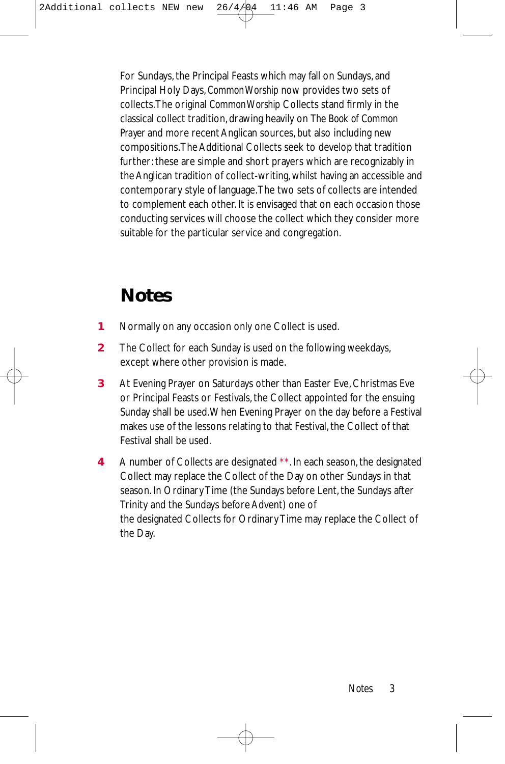For Sundays, the Principal Feasts which may fall on Sundays, and Principal Holy Days, *Common Worship* now provides two sets of collects.The original *Common Worship* Collects stand firmly in the classical collect tradition, drawing heavily on *The Book of Common Prayer* and more recent Anglican sources, but also including new compositions.The Additional Collects seek to develop that tradition further: these are simple and short prayers which are recognizably in the Anglican tradition of collect-writing, whilst having an accessible and contemporary style of language.The two sets of collects are intended to complement each other. It is envisaged that on each occasion those conducting services will choose the collect which they consider more suitable for the particular service and congregation.

# **Notes**

- **1** Normally on any occasion only one Collect is used.
- **2** The Collect for each Sunday is used on the following weekdays, except where other provision is made.
- **3** At Evening Prayer on Saturdays other than Easter Eve, Christmas Eve or Principal Feasts or Festivals, the Collect appointed for the ensuing Sunday shall be used.When Evening Prayer on the day before a Festival makes use of the lessons relating to that Festival, the Collect of that Festival shall be used.
- **4** A number of Collects are designated *\*\**. In each season, the designated Collect may replace the Collect of the Day on other Sundays in that season. In Ordinary Time (the Sundays before Lent, the Sundays after Trinity and the Sundays before Advent) one of the designated Collects for Ordinary Time may replace the Collect of the Day.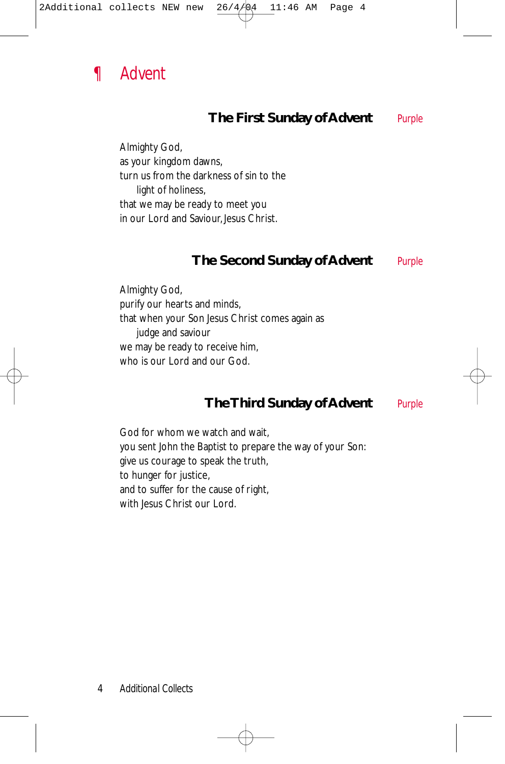

#### **The First Sunday of Advent** *Purple*

Almighty God, as your kingdom dawns, turn us from the darkness of sin to the light of holiness, that we may be ready to meet you in our Lord and Saviour, Jesus Christ.

#### **The Second Sunday of Advent** *Purple*

Almighty God, purify our hearts and minds, that when your Son Jesus Christ comes again as judge and saviour we may be ready to receive him, who is our Lord and our God.

#### **The Third Sunday of Advent** *Purple*

God for whom we watch and wait, you sent John the Baptist to prepare the way of your Son: give us courage to speak the truth, to hunger for justice, and to suffer for the cause of right, with Jesus Christ our Lord.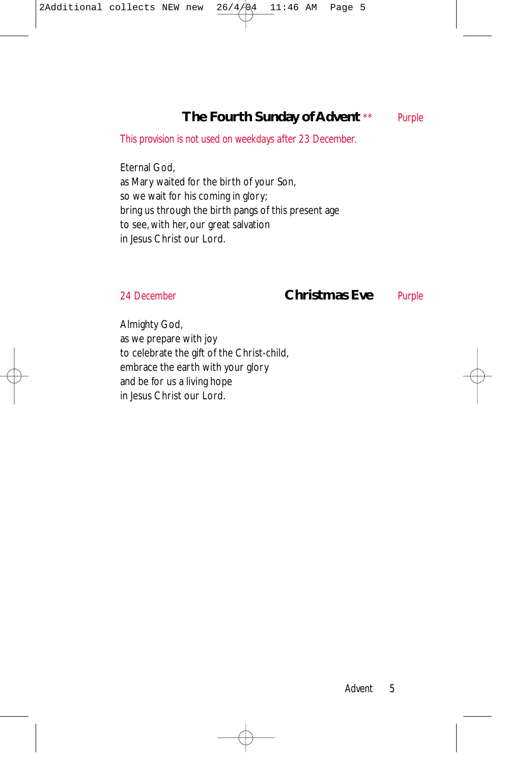### **The Fourth Sunday of Advent** *\*\* Purple*

*This provision is not used on weekdays after 23 December.*

Eternal God, as Mary waited for the birth of your Son, so we wait for his coming in glory; bring us through the birth pangs of this present age to see, with her, our great salvation in Jesus Christ our Lord.

#### *24 December* **Christmas Eve** *Purple*

Almighty God, as we prepare with joy to celebrate the gift of the Christ-child, embrace the earth with your glory and be for us a living hope in Jesus Christ our Lord.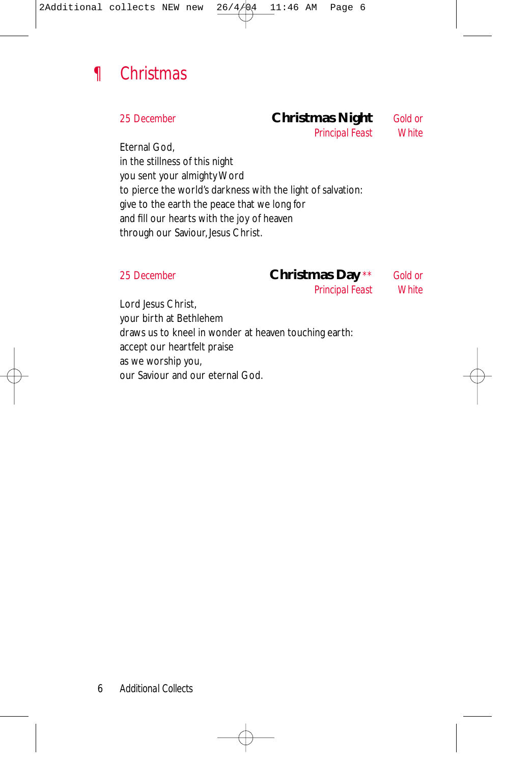

#### *25 December* **Christmas Night** *Gold or*

*Principal Feast White*

Eternal God, in the stillness of this night you sent your almighty Word to pierce the world's darkness with the light of salvation: give to the earth the peace that we long for and fill our hearts with the joy of heaven through our Saviour, Jesus Christ.

#### *25 December* **Christmas Day** *\*\* Gold or*

*Principal Feast White*

Lord Jesus Christ, your birth at Bethlehem draws us to kneel in wonder at heaven touching earth: accept our heartfelt praise as we worship you, our Saviour and our eternal God.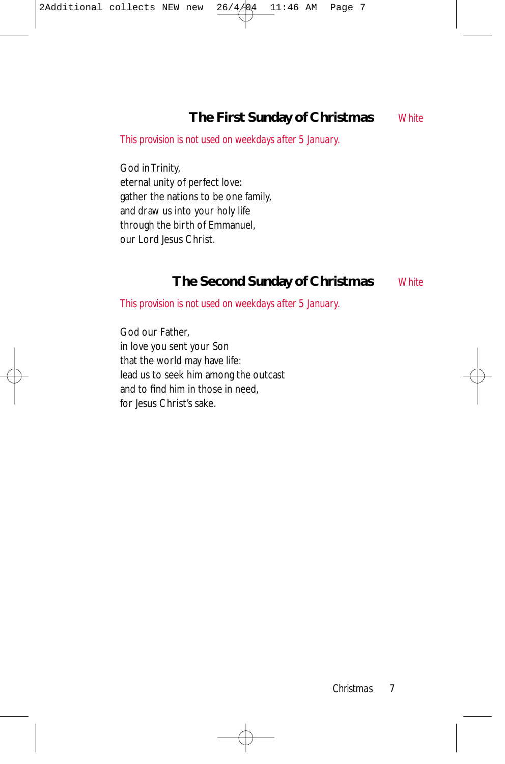### **The First Sunday of Christmas** *White*

*This provision is not used on weekdays after 5 January.*

God in Trinity, eternal unity of perfect love: gather the nations to be one family, and draw us into your holy life through the birth of Emmanuel, our Lord Jesus Christ.

#### **The Second Sunday of Christmas** *White*

*This provision is not used on weekdays after 5 January.*

God our Father, in love you sent your Son that the world may have life: lead us to seek him among the outcast and to find him in those in need, for Jesus Christ's sake.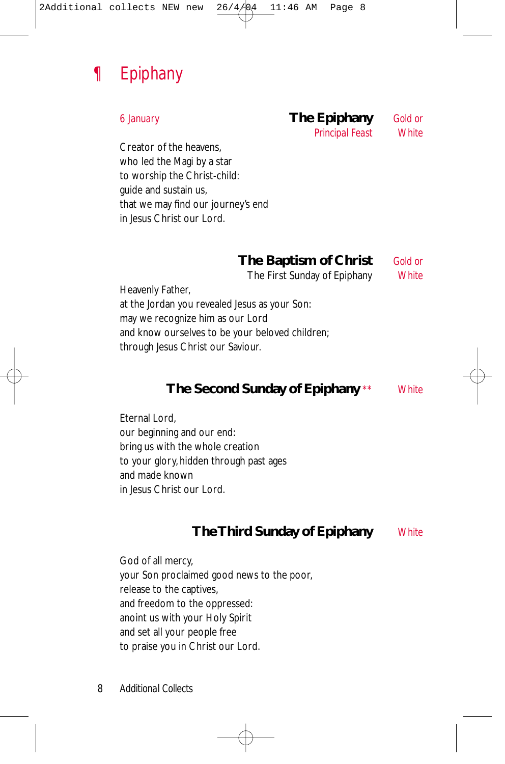

## *6 January* **The Epiphany** *Gold or*

*Principal Feast White*

Creator of the heavens, who led the Magi by a star to worship the Christ-child: guide and sustain us, that we may find our journey's end in Jesus Christ our Lord.

#### **The Baptism of Christ** *Gold or*

The First Sunday of Epiphany *White*

Heavenly Father, at the Jordan you revealed Jesus as your Son: may we recognize him as our Lord and know ourselves to be your beloved children; through Jesus Christ our Saviour.

#### **The Second Sunday of Epiphany** *\*\* White*

Eternal Lord, our beginning and our end: bring us with the whole creation to your glory, hidden through past ages and made known in Jesus Christ our Lord.

#### **The Third Sunday of Epiphany** *White*

God of all mercy, your Son proclaimed good news to the poor, release to the captives, and freedom to the oppressed: anoint us with your Holy Spirit and set all your people free to praise you in Christ our Lord.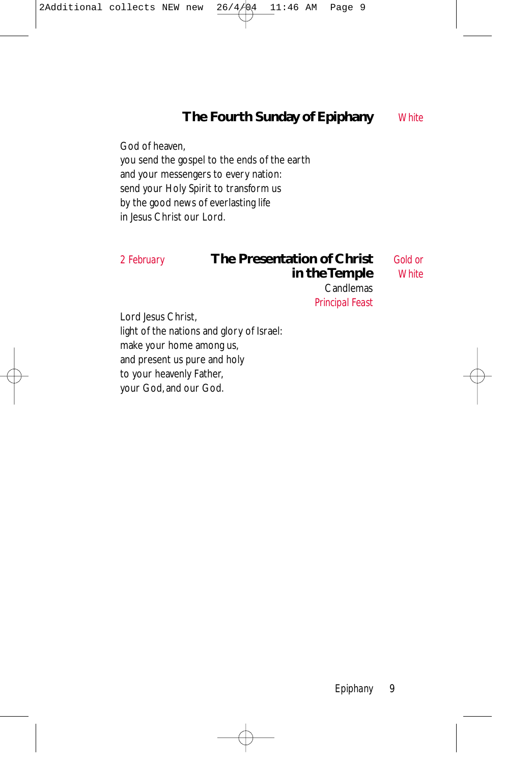### **The Fourth Sunday of Epiphany** *White*

God of heaven, you send the gospel to the ends of the earth and your messengers to every nation: send your Holy Spirit to transform us by the good news of everlasting life in Jesus Christ our Lord.

#### *2 February* **The Presentation of Christ** *Gold or* **in the Temple**

Candlemas *Principal Feast*

Lord Jesus Christ, light of the nations and glory of Israel: make your home among us, and present us pure and holy to your heavenly Father, your God, and our God.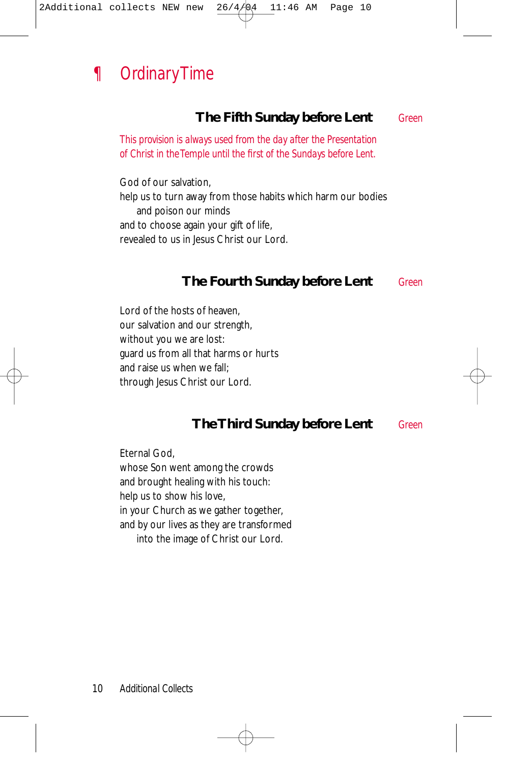

#### **The Fifth Sunday before Lent** *Green*

*This provision is always used from the day after the Presentation of Christ in the Temple until the first of the Sundays before Lent.*

God of our salvation, help us to turn away from those habits which harm our bodies and poison our minds and to choose again your gift of life, revealed to us in Jesus Christ our Lord.

#### **The Fourth Sunday before Lent** *Green*

Lord of the hosts of heaven, our salvation and our strength, without you we are lost: guard us from all that harms or hurts and raise us when we fall; through Jesus Christ our Lord.

#### **The Third Sunday before Lent** *Green*

Eternal God, whose Son went among the crowds and brought healing with his touch: help us to show his love, in your Church as we gather together, and by our lives as they are transformed into the image of Christ our Lord.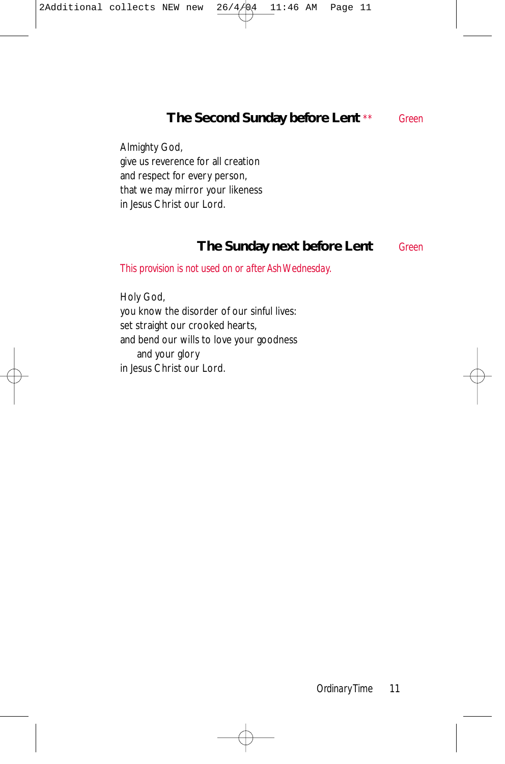#### **The Second Sunday before Lent** *\*\* Green*

Almighty God, give us reverence for all creation and respect for every person, that we may mirror your likeness in Jesus Christ our Lord.

#### **The Sunday next before Lent** *Green*

*This provision is not used on or after Ash Wednesday.*

Holy God, you know the disorder of our sinful lives: set straight our crooked hearts, and bend our wills to love your goodness and your glory in Jesus Christ our Lord.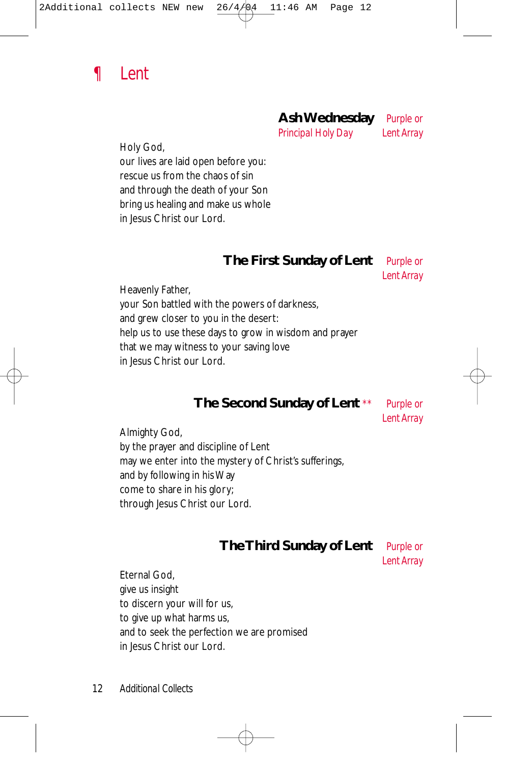

#### **Ash Wednesday** *Purple or*

*Principal Holy Day Lent Array*

Holy God,

our lives are laid open before you: rescue us from the chaos of sin and through the death of your Son bring us healing and make us whole in Jesus Christ our Lord.

## **The First Sunday of Lent** *Purple or*

*Lent Array*

Heavenly Father, your Son battled with the powers of darkness, and grew closer to you in the desert: help us to use these days to grow in wisdom and prayer that we may witness to your saving love in Jesus Christ our Lord.

#### **The Second Sunday of Lent** *\*\* Purple or*

*Lent Array*

Almighty God, by the prayer and discipline of Lent may we enter into the mystery of Christ's sufferings, and by following in his Way come to share in his glory; through Jesus Christ our Lord.

#### **The Third Sunday of Lent** *Purple or*

*Lent Array*

Eternal God, give us insight to discern your will for us, to give up what harms us, and to seek the perfection we are promised in Jesus Christ our Lord.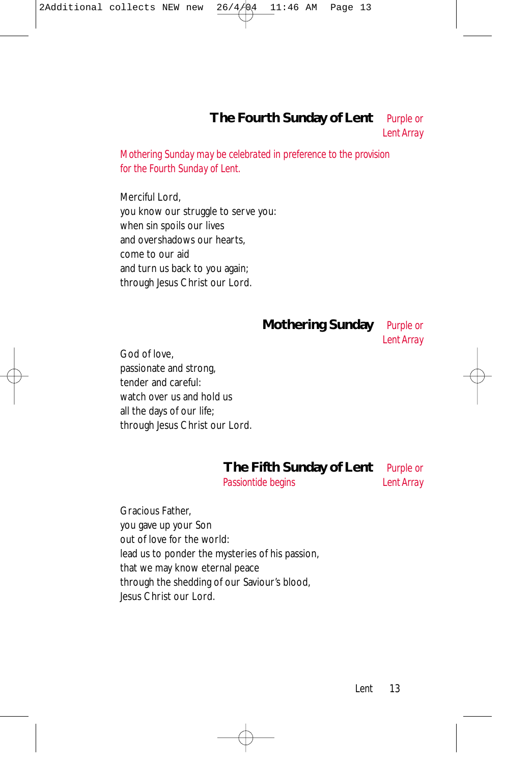#### **The Fourth Sunday of Lent** *Purple or Lent Array*

*Mothering Sunday may be celebrated in preference to the provision for the Fourth Sunday of Lent.*

Merciful Lord, you know our struggle to serve you: when sin spoils our lives and overshadows our hearts, come to our aid and turn us back to you again; through Jesus Christ our Lord.

**Mothering Sunday** *Purple or*

*Lent Array*

God of love, passionate and strong, tender and careful: watch over us and hold us all the days of our life; through Jesus Christ our Lord.

#### **The Fifth Sunday of Lent** *Purple or*

*Passiontide begins Lent Array* 

Gracious Father, you gave up your Son out of love for the world: lead us to ponder the mysteries of his passion, that we may know eternal peace through the shedding of our Saviour's blood, Jesus Christ our Lord.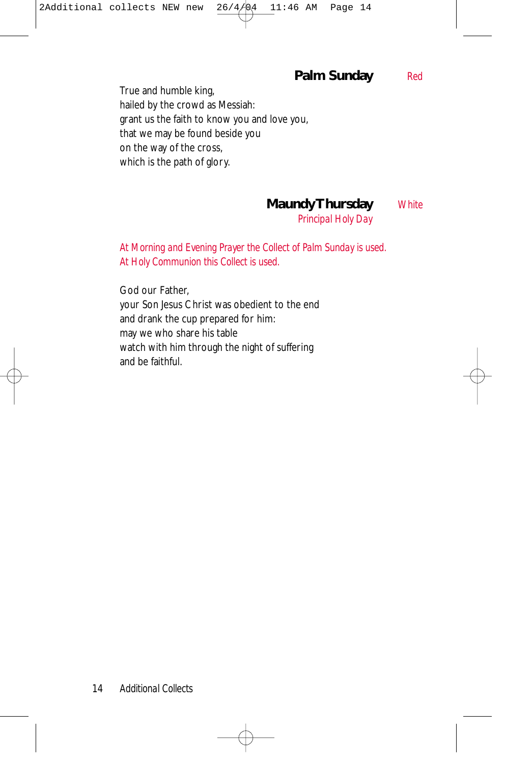#### **Palm Sunday** *Red*

True and humble king, hailed by the crowd as Messiah: grant us the faith to know you and love you, that we may be found beside you on the way of the cross, which is the path of glory.

**Maundy Thursday** *White*

*Principal Holy Day*

*At Morning and Evening Prayer the Collect of Palm Sunday is used. At Holy Communion this Collect is used.*

God our Father, your Son Jesus Christ was obedient to the end and drank the cup prepared for him: may we who share his table watch with him through the night of suffering and be faithful.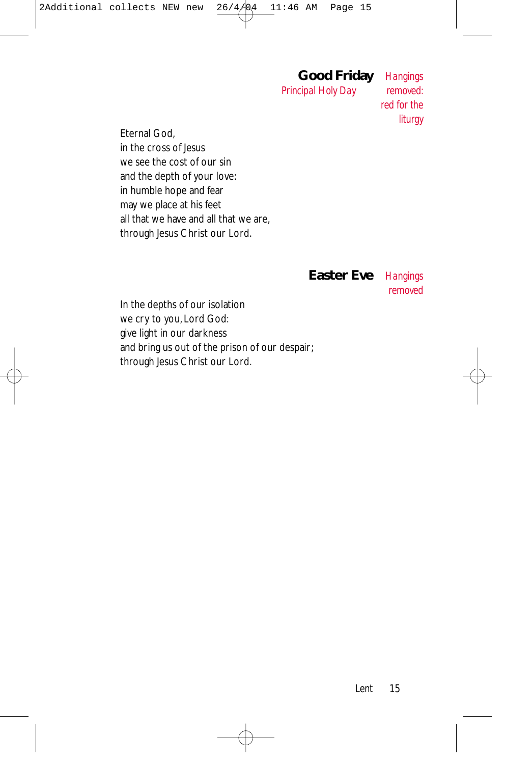# **Good Friday** *Hangings*

**Principal Holy Day** 

*red for the liturgy*

Eternal God, in the cross of Jesus we see the cost of our sin and the depth of your love: in humble hope and fear may we place at his feet all that we have and all that we are, through Jesus Christ our Lord.

#### **Easter Eve** *Hangings*

*removed*

In the depths of our isolation we cry to you, Lord God: give light in our darkness and bring us out of the prison of our despair; through Jesus Christ our Lord.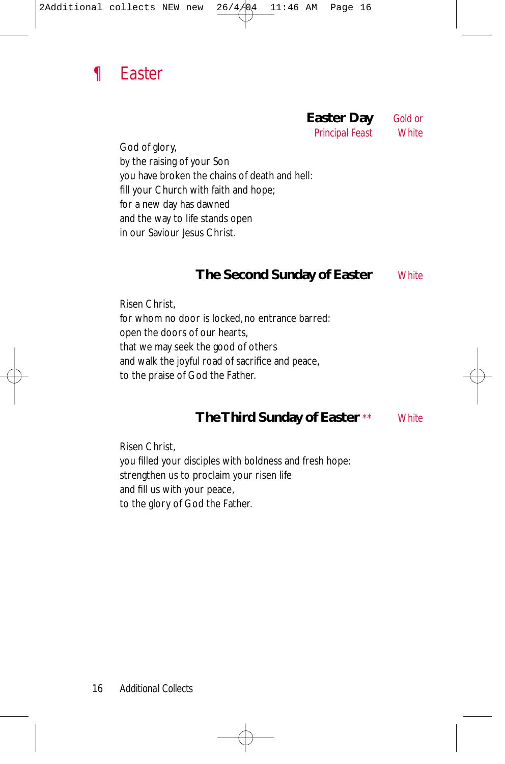

# **Easter Day** *Gold or*

**Principal Feast** 

God of glory, by the raising of your Son you have broken the chains of death and hell: fill your Church with faith and hope; for a new day has dawned and the way to life stands open in our Saviour Jesus Christ.

#### **The Second Sunday of Easter** *White*

Risen Christ, for whom no door is locked, no entrance barred: open the doors of our hearts, that we may seek the good of others and walk the joyful road of sacrifice and peace, to the praise of God the Father.

#### **The Third Sunday of Easter** *\*\* White*

Risen Christ, you filled your disciples with boldness and fresh hope: strengthen us to proclaim your risen life and fill us with your peace, to the glory of God the Father.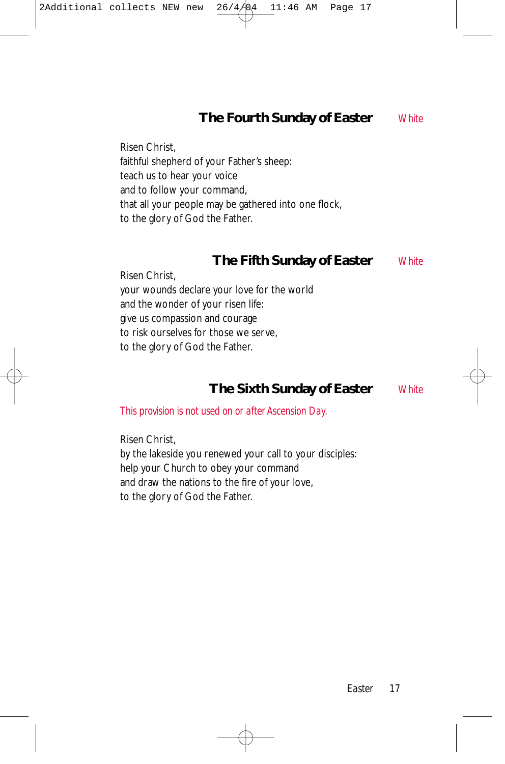#### **The Fourth Sunday of Easter** *White*

Risen Christ, faithful shepherd of your Father's sheep: teach us to hear your voice and to follow your command, that all your people may be gathered into one flock, to the glory of God the Father.

#### **The Fifth Sunday of Easter** *White*

Risen Christ, your wounds declare your love for the world and the wonder of your risen life: give us compassion and courage to risk ourselves for those we serve, to the glory of God the Father.

#### **The Sixth Sunday of Easter** *White*

*This provision is not used on or after Ascension Day.*

Risen Christ, by the lakeside you renewed your call to your disciples: help your Church to obey your command and draw the nations to the fire of your love, to the glory of God the Father.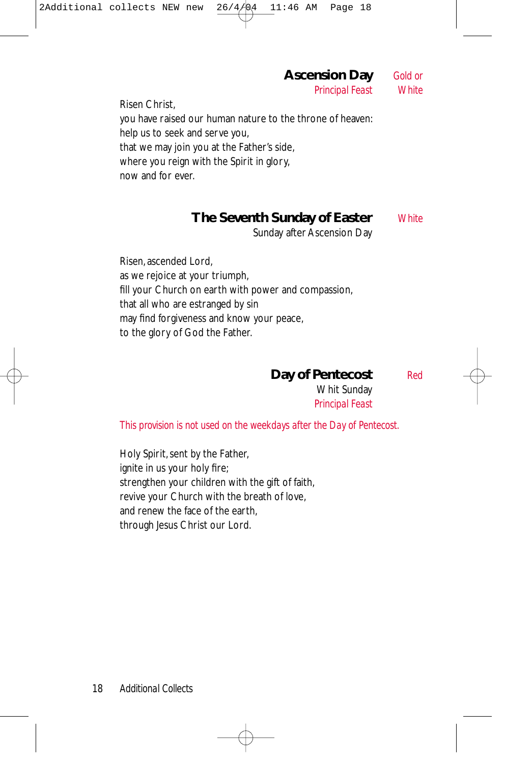*Principal Feast White* Risen Christ, you have raised our human nature to the throne of heaven: help us to seek and serve you, that we may join you at the Father's side, where you reign with the Spirit in glory, now and for ever.

#### **The Seventh Sunday of Easter** *White*

Sunday after Ascension Day

**Ascension Day** *Gold or*

Risen, ascended Lord, as we rejoice at your triumph, fill your Church on earth with power and compassion, that all who are estranged by sin may find forgiveness and know your peace, to the glory of God the Father.

**Day of Pentecost** *Red*

Whit Sunday *Principal Feast*

*This provision is not used on the weekdays after the Day of Pentecost.*

Holy Spirit, sent by the Father, ignite in us your holy fire; strengthen your children with the gift of faith, revive your Church with the breath of love, and renew the face of the earth, through Jesus Christ our Lord.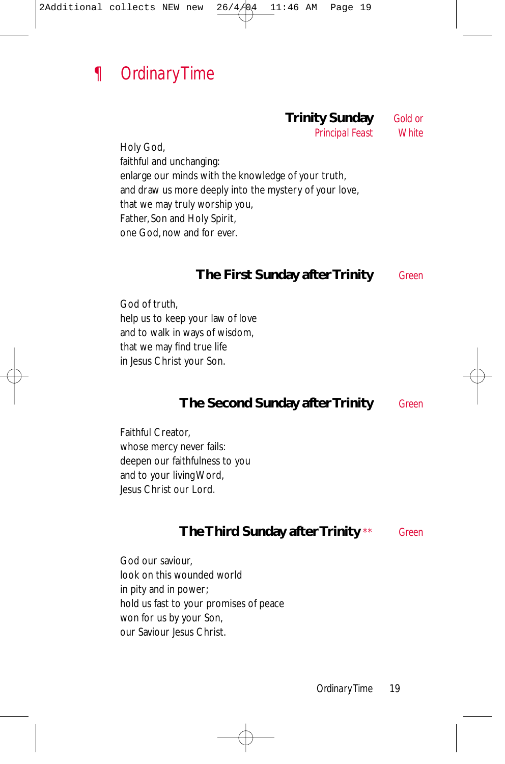

#### **Trinity Sunday** *Gold or*

*Principal Feast White*

Holy God, faithful and unchanging: enlarge our minds with the knowledge of your truth, and draw us more deeply into the mystery of your love, that we may truly worship you, Father, Son and Holy Spirit, one God, now and for ever.

#### **The First Sunday after Trinity** *Green*

God of truth, help us to keep your law of love and to walk in ways of wisdom, that we may find true life in Jesus Christ your Son.

#### **The Second Sunday after Trinity** *Green*

Faithful Creator, whose mercy never fails: deepen our faithfulness to you and to your living Word, Jesus Christ our Lord.

#### **The Third Sunday after Trinity** *\*\* Green*

God our saviour, look on this wounded world in pity and in power; hold us fast to your promises of peace won for us by your Son, our Saviour Jesus Christ.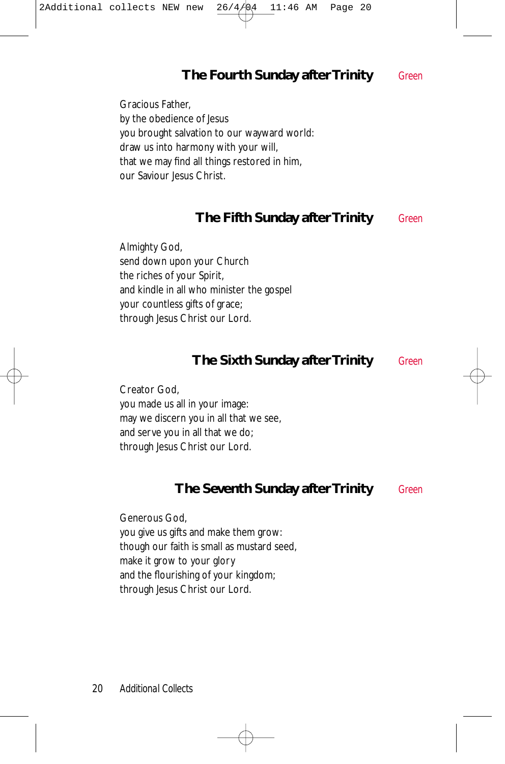### **The Fourth Sunday after Trinity** *Green*

Gracious Father, by the obedience of Jesus you brought salvation to our wayward world: draw us into harmony with your will, that we may find all things restored in him, our Saviour Jesus Christ.

#### **The Fifth Sunday after Trinity** *Green*

Almighty God, send down upon your Church the riches of your Spirit, and kindle in all who minister the gospel your countless gifts of grace; through Jesus Christ our Lord.

#### **The Sixth Sunday after Trinity** *Green*

Creator God, you made us all in your image: may we discern you in all that we see, and serve you in all that we do; through Jesus Christ our Lord.

#### **The Seventh Sunday after Trinity** *Green*

Generous God, you give us gifts and make them grow: though our faith is small as mustard seed, make it grow to your glory and the flourishing of your kingdom; through Jesus Christ our Lord.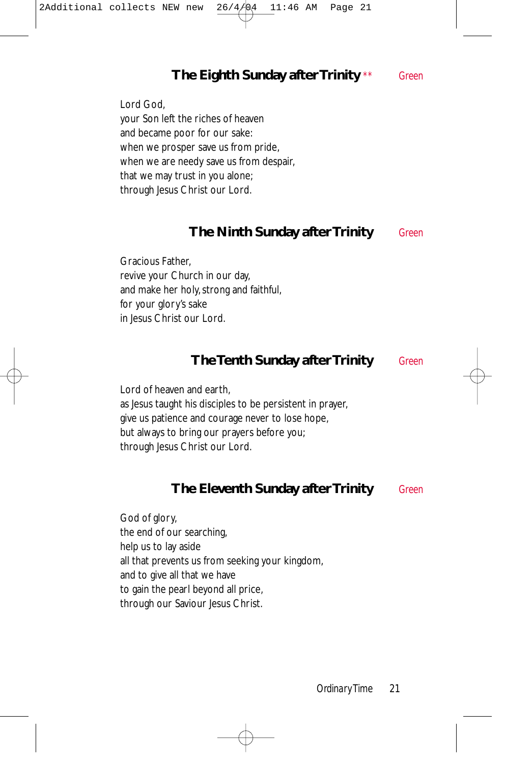### **The Eighth Sunday after Trinity** *\*\* Green*

Lord God, your Son left the riches of heaven and became poor for our sake: when we prosper save us from pride, when we are needy save us from despair, that we may trust in you alone; through Jesus Christ our Lord.

#### **The Ninth Sunday after Trinity** *Green*

Gracious Father, revive your Church in our day, and make her holy, strong and faithful, for your glory's sake in Jesus Christ our Lord.

#### **The Tenth Sunday after Trinity** *Green*

Lord of heaven and earth, as Jesus taught his disciples to be persistent in prayer, give us patience and courage never to lose hope, but always to bring our prayers before you; through Jesus Christ our Lord.

#### **The Eleventh Sunday after Trinity** *Green*

God of glory, the end of our searching, help us to lay aside all that prevents us from seeking your kingdom, and to give all that we have to gain the pearl beyond all price, through our Saviour Jesus Christ.

*Ordinary Time* 21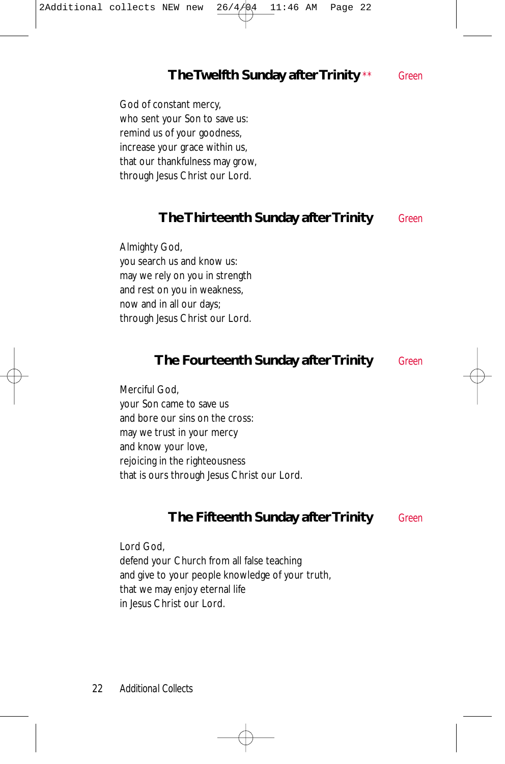#### **The Twelfth Sunday after Trinity** *\*\* Green*

God of constant mercy, who sent your Son to save us: remind us of your goodness, increase your grace within us, that our thankfulness may grow, through Jesus Christ our Lord.

#### **The Thirteenth Sunday after Trinity** *Green*

Almighty God, you search us and know us: may we rely on you in strength and rest on you in weakness, now and in all our days; through Jesus Christ our Lord.

#### **The Fourteenth Sunday after Trinity** *Green*

Merciful God, your Son came to save us and bore our sins on the cross: may we trust in your mercy and know your love, rejoicing in the righteousness that is ours through Jesus Christ our Lord.

#### **The Fifteenth Sunday after Trinity** *Green*

Lord God, defend your Church from all false teaching and give to your people knowledge of your truth, that we may enjoy eternal life in Jesus Christ our Lord.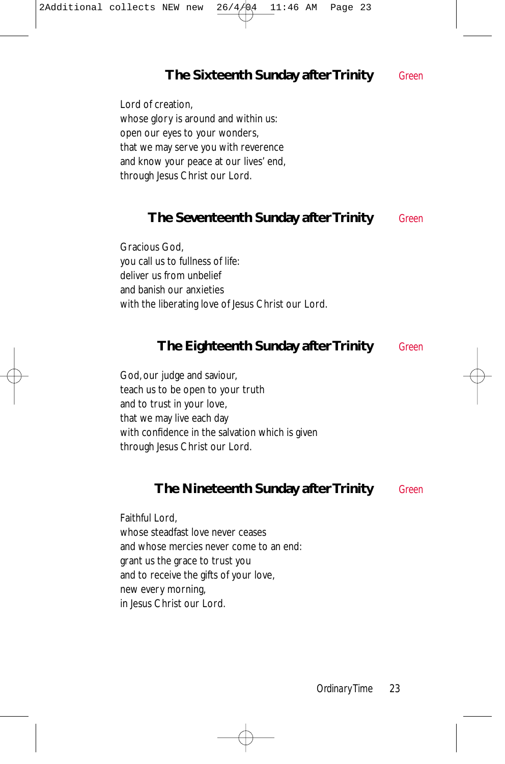#### **The Sixteenth Sunday after Trinity** *Green*

Lord of creation, whose glory is around and within us: open our eyes to your wonders, that we may serve you with reverence and know your peace at our lives' end, through Jesus Christ our Lord.

#### **The Seventeenth Sunday after Trinity** *Green*

Gracious God, you call us to fullness of life: deliver us from unbelief and banish our anxieties with the liberating love of Jesus Christ our Lord.

#### **The Eighteenth Sunday after Trinity** *Green*

God, our judge and saviour, teach us to be open to your truth and to trust in your love, that we may live each day with confidence in the salvation which is given through Jesus Christ our Lord.

#### **The Nineteenth Sunday after Trinity** *Green*

Faithful Lord, whose steadfast love never ceases and whose mercies never come to an end: grant us the grace to trust you and to receive the gifts of your love, new every morning, in Jesus Christ our Lord.

*Ordinary Time* 23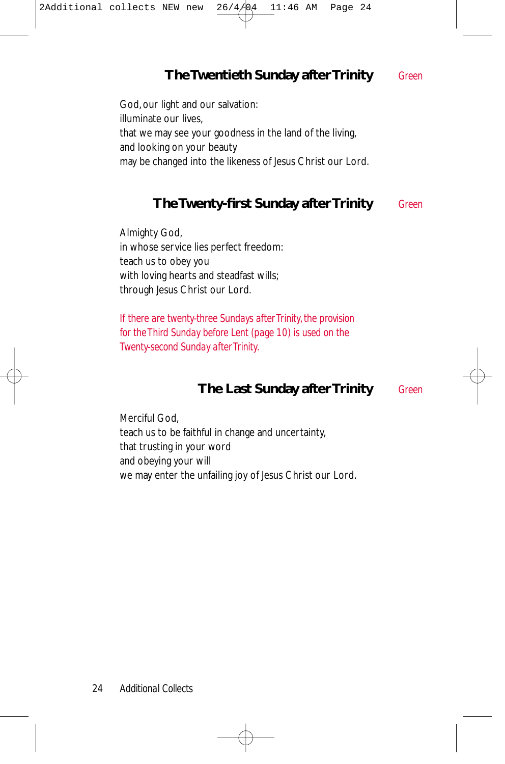### **The Twentieth Sunday after Trinity** *Green*

God, our light and our salvation: illuminate our lives, that we may see your goodness in the land of the living, and looking on your beauty may be changed into the likeness of Jesus Christ our Lord.

#### **The Twenty-first Sunday after Trinity** *Green*

Almighty God, in whose service lies perfect freedom: teach us to obey you with loving hearts and steadfast wills; through Jesus Christ our Lord.

*If there are twenty-three Sundays after Trinity, the provision for the Third Sunday before Lent (page 10) is used on the Twenty-second Sunday after Trinity.*

#### **The Last Sunday after Trinity** *Green*

Merciful God, teach us to be faithful in change and uncertainty, that trusting in your word and obeying your will we may enter the unfailing joy of Jesus Christ our Lord.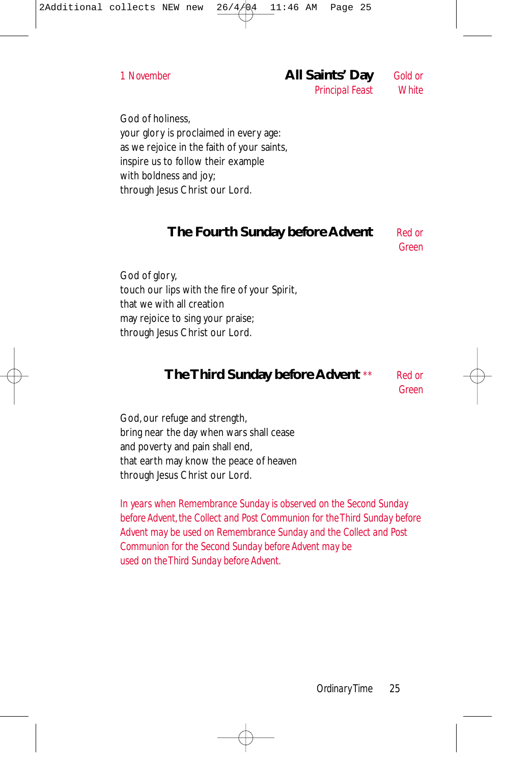God of holiness, your glory is proclaimed in every age: as we rejoice in the faith of your saints, inspire us to follow their example with boldness and joy; through Jesus Christ our Lord.

#### **The Fourth Sunday before Advent** *Red or*

*Green*

God of glory, touch our lips with the fire of your Spirit, that we with all creation may rejoice to sing your praise; through Jesus Christ our Lord.

#### **The Third Sunday before Advent** *\*\* Red or*

*Green*

God, our refuge and strength, bring near the day when wars shall cease and poverty and pain shall end, that earth may know the peace of heaven through Jesus Christ our Lord.

*In years when Remembrance Sunday is observed on the Second Sunday before Advent, the Collect and Post Communion for the Third Sunday before Advent may be used on Remembrance Sunday and the Collect and Post Communion for the Second Sunday before Advent may be used on the Third Sunday before Advent.*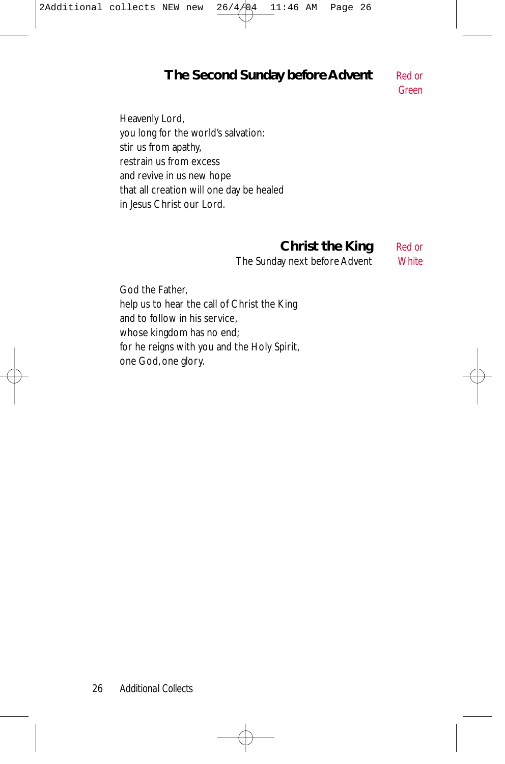#### **The Second Sunday before Advent** *Red or*

*Green*

Heavenly Lord, you long for the world's salvation: stir us from apathy, restrain us from excess and revive in us new hope that all creation will one day be healed in Jesus Christ our Lord.

### **Christ the King** *Red or*

The Sunday next before Advent *White*

God the Father, help us to hear the call of Christ the King and to follow in his service, whose kingdom has no end; for he reigns with you and the Holy Spirit, one God, one glory.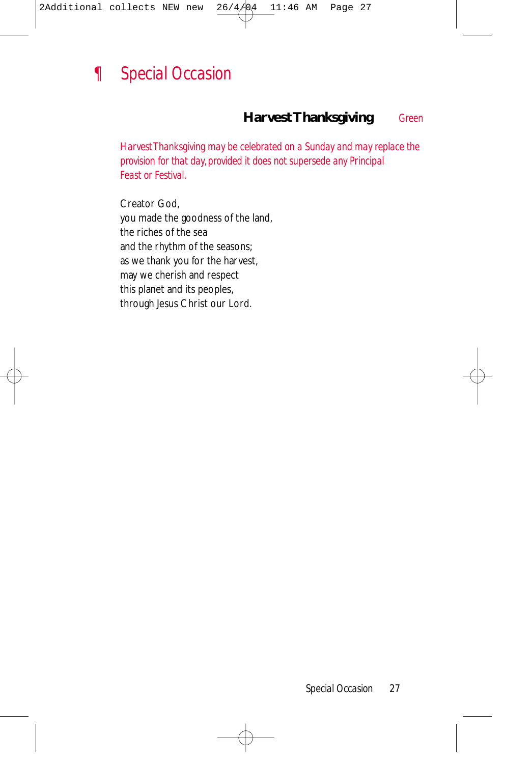

#### **Harvest Thanksgiving** *Green*

*Harvest Thanksgiving may be celebrated on a Sunday and may replace the provision for that day, provided it does not supersede any Principal Feast or Festival.*

Creator God, you made the goodness of the land, the riches of the sea and the rhythm of the seasons; as we thank you for the harvest, may we cherish and respect this planet and its peoples, through Jesus Christ our Lord.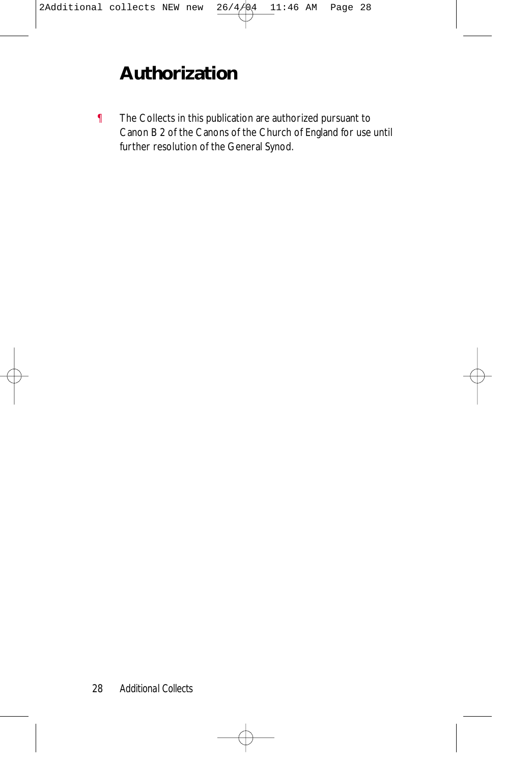# **Authorization**

¶ The Collects in this publication are authorized pursuant to Canon B 2 of the Canons of the Church of England for use until further resolution of the General Synod.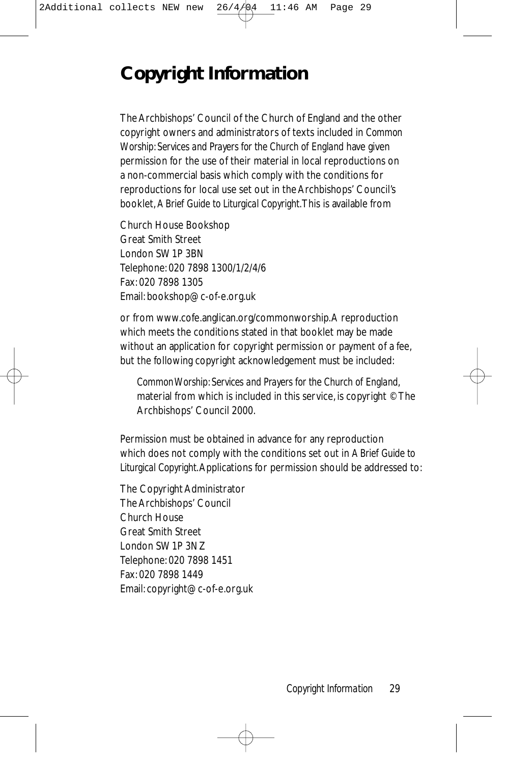# **Copyright Information**

The Archbishops' Council of the Church of England and the other copyright owners and administrators of texts included in *Common Worship: Services and Prayers for the Church of England* have given permission for the use of their material in local reproductions on a non-commercial basis which comply with the conditions for reproductions for local use set out in the Archbishops' Council's booklet, *A Brief Guide to Liturgical Copyright*.This is available from

Church House Bookshop Great Smith Street London SW1P 3BN Telephone: 020 7898 1300/1/2/4/6 Fax: 020 7898 1305 Email: bookshop@c-of-e.org.uk

or from www.cofe.anglican.org/commonworship.A reproduction which meets the conditions stated in that booklet may be made without an application for copyright permission or payment of a fee, but the following copyright acknowledgement must be included:

*Common Worship: Services and Prayers for the Church of England*, material from which is included in this service, is copyright © The Archbishops' Council 2000.

Permission must be obtained in advance for any reproduction which does not comply with the conditions set out in *A Brief Guide to Liturgical Copyright*.Applications for permission should be addressed to:

The Copyright Administrator The Archbishops' Council Church House Great Smith Street London SW1P 3NZ Telephone: 020 7898 1451 Fax: 020 7898 1449 Email: copyright@c-of-e.org.uk